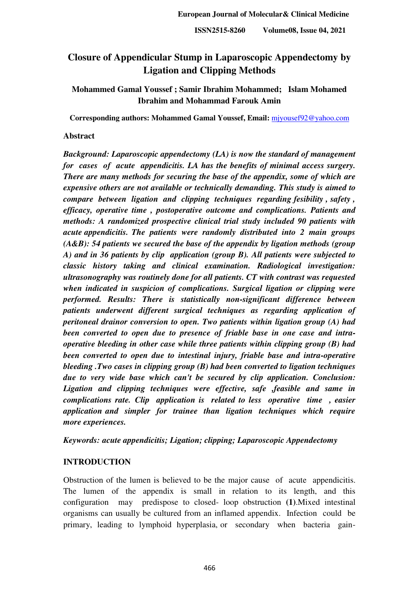# **Closure of Appendicular Stump in Laparoscopic Appendectomy by Ligation and Clipping Methods**

# **Mohammed Gamal Youssef ; Samir Ibrahim Mohammed; Islam Mohamed Ibrahim and Mohammad Farouk Amin**

**Corresponding authors: Mohammed Gamal Youssef, Email:** [mjyousef92@yahoo.com](mailto:mjyousef92@yahoo.com)

# **Abstract**

*Background: Laparoscopic appendectomy (LA) is now the standard of management for cases of acute appendicitis. LA has the benefits of minimal access surgery. There are many methods for securing the base of the appendix, some of which are expensive others are not available or technically demanding. This study is aimed to compare between ligation and clipping techniques regarding fesibility , safety , efficacy, operative time , postoperative outcome and complications. Patients and methods: A randomized prospective clinical trial study included 90 patients with acute appendicitis. The patients were randomly distributed into 2 main groups (A&B): 54 patients we secured the base of the appendix by ligation methods (group A) and in 36 patients by clip application (group B). All patients were subjected to classic history taking and clinical examination. Radiological investigation: ultrasonography was routinely done for all patients. CT with contrast was requested when indicated in suspicion of complications. Surgical ligation or clipping were performed. Results: There is statistically non-significant difference between patients underwent different surgical techniques as regarding application of peritoneal drainor conversion to open. Two patients within ligation group (A) had been converted to open due to presence of friable base in one case and intraoperative bleeding in other case while three patients within clipping group (B) had been converted to open due to intestinal injury, friable base and intra-operative bleeding .Two cases in clipping group (B) had been converted to ligation techniques due to very wide base which can't be secured by clip application. Conclusion: Ligation and clipping techniques were effective, safe ,feasible and same in complications rate. Clip application is related to less operative time , easier application and simpler for trainee than ligation techniques which require more experiences.* 

# *Keywords: acute appendicitis; Ligation; clipping; Laparoscopic Appendectomy*

# **INTRODUCTION**

Obstruction of the lumen is believed to be the major cause of acute appendicitis. The lumen of the appendix is small in relation to its length, and this configuration may predispose to closed- loop obstruction **(1)**.Mixed intestinal organisms can usually be cultured from an inflamed appendix. Infection could be primary, leading to lymphoid hyperplasia, or secondary when bacteria gain-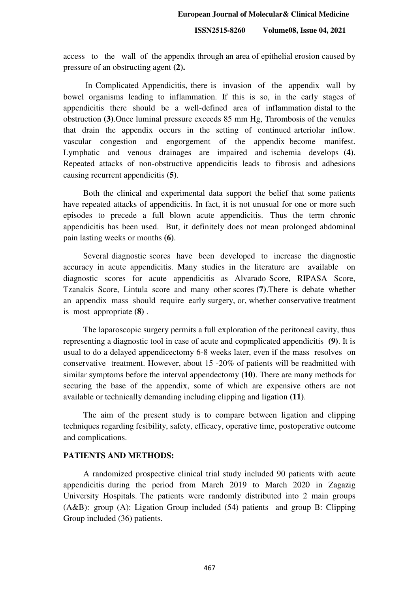access to the wall of the appendix through an area of epithelial erosion caused by pressure of an obstructing agent **(2).**

 In Complicated Appendicitis, there is invasion of the appendix wall by bowel organisms leading to inflammation. If this is so, in the early stages of appendicitis there should be a well-defined area of inflammation distal to the obstruction **(3)**.Once luminal pressure exceeds 85 mm Hg, Thrombosis of the venules that drain the appendix occurs in the setting of continued arteriolar inflow. vascular congestion and engorgement of the appendix become manifest. Lymphatic and venous drainages are impaired and ischemia develops **(4)**. Repeated attacks of non-obstructive appendicitis leads to fibrosis and adhesions causing recurrent appendicitis **(5)**.

Both the clinical and experimental data support the belief that some patients have repeated attacks of appendicitis. In fact, it is not unusual for one or more such episodes to precede a full blown acute appendicitis. Thus the term chronic appendicitis has been used. But, it definitely does not mean prolonged abdominal pain lasting weeks or months **(6)**.

Several diagnostic scores have been developed to increase the diagnostic accuracy in acute appendicitis. Many studies in the literature are available on diagnostic scores for acute appendicitis as Alvarado Score, RIPASA Score, Tzanakis Score, Lintula score and many other scores **(7)**.There is debate whether an appendix mass should require early surgery, or, whether conservative treatment is most appropriate **(8)** .

The laparoscopic surgery permits a full exploration of the peritoneal cavity, thus representing a diagnostic tool in case of acute and copmplicated appendicitis **(9)**. It is usual to do a delayed appendicectomy 6-8 weeks later, even if the mass resolves on conservative treatment. However, about 15 -20% of patients will be readmitted with similar symptoms before the interval appendectomy **(10)**. There are many methods for securing the base of the appendix, some of which are expensive others are not available or technically demanding including clipping and ligation **(11)**.

The aim of the present study is to compare between ligation and clipping techniques regarding fesibility, safety, efficacy, operative time, postoperative outcome and complications.

#### **PATIENTS AND METHODS:**

A randomized prospective clinical trial study included 90 patients with acute appendicitis during the period from March 2019 to March 2020 in Zagazig University Hospitals. The patients were randomly distributed into 2 main groups (A&B): group (A): Ligation Group included (54) patients and group B: Clipping Group included (36) patients.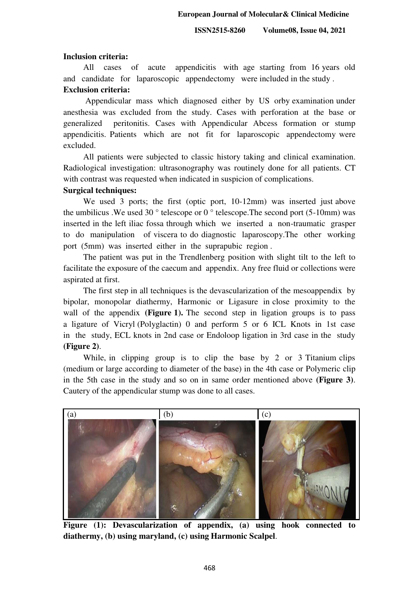#### **Inclusion criteria:**

All cases of acute appendicitis with age starting from 16 years old and candidate for laparoscopic appendectomy were included in the study .

# **Exclusion criteria:**

 Appendicular mass which diagnosed either by US orby examination under anesthesia was excluded from the study. Cases with perforation at the base or generalized peritonitis. Cases with Appendicular Abcess formation or stump appendicitis. Patients which are not fit for laparoscopic appendectomy were excluded.

All patients were subjected to classic history taking and clinical examination. Radiological investigation: ultrasonography was routinely done for all patients. CT with contrast was requested when indicated in suspicion of complications.

### **Surgical techniques:**

We used 3 ports; the first (optic port, 10-12mm) was inserted just above the umbilicus .We used 30  $\degree$  telescope or 0  $\degree$  telescope. The second port (5-10mm) was inserted in the left iliac fossa through which we inserted a non-traumatic grasper to do manipulation of viscera to do diagnostic laparoscopy.The other working port (5mm) was inserted either in the suprapubic region .

The patient was put in the Trendlenberg position with slight tilt to the left to facilitate the exposure of the caecum and appendix. Any free fluid or collections were aspirated at first.

The first step in all techniques is the devascularization of the mesoappendix by bipolar, monopolar diathermy, Harmonic or Ligasure in close proximity to the wall of the appendix **(Figure 1).** The second step in ligation groups is to pass a ligature of Vicryl (Polyglactin) 0 and perform 5 or 6 ICL Knots in 1st case in the study, ECL knots in 2nd case or Endoloop ligation in 3rd case in the study **(Figure 2)**.

While, in clipping group is to clip the base by 2 or 3 Titanium clips (medium or large according to diameter of the base) in the 4th case or Polymeric clip in the 5th case in the study and so on in same order mentioned above **(Figure 3)**. Cautery of the appendicular stump was done to all cases.



**Figure (1): Devascularization of appendix, (a) using hook connected to diathermy, (b) using maryland, (c) using Harmonic Scalpel**.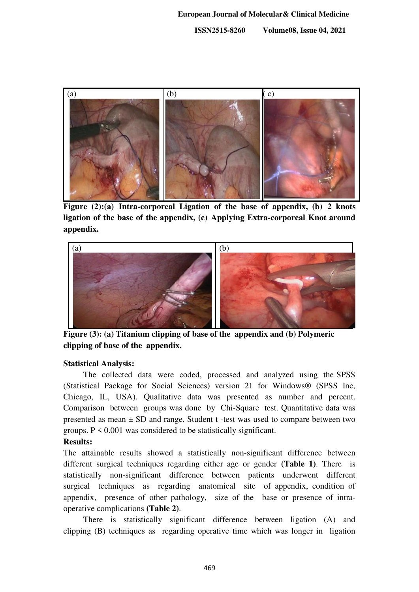

**Figure (2):(a) Intra-corporeal Ligation of the base of appendix, (b) 2 knots ligation of the base of the appendix, (c) Applying Extra-corporeal Knot around appendix.** 



**Figure (3): (a) Titanium clipping of base of the appendix and (b) Polymeric clipping of base of the appendix.** 

# **Statistical Analysis:**

The collected data were coded, processed and analyzed using the SPSS (Statistical Package for Social Sciences) version 21 for Windows® (SPSS Inc, Chicago, IL, USA). Qualitative data was presented as number and percent. Comparison between groups was done by Chi-Square test. Quantitative data was presented as mean  $\pm$  SD and range. Student t -test was used to compare between two groups.  $P \le 0.001$  was considered to be statistically significant.

# **Results:**

The attainable results showed a statistically non-significant difference between different surgical techniques regarding either age or gender **(Table 1)**. There is statistically non-significant difference between patients underwent different surgical techniques as regarding anatomical site of appendix, condition of appendix, presence of other pathology, size of the base or presence of intraoperative complications **(Table 2)**.

There is statistically significant difference between ligation (A) and clipping (B) techniques as regarding operative time which was longer in ligation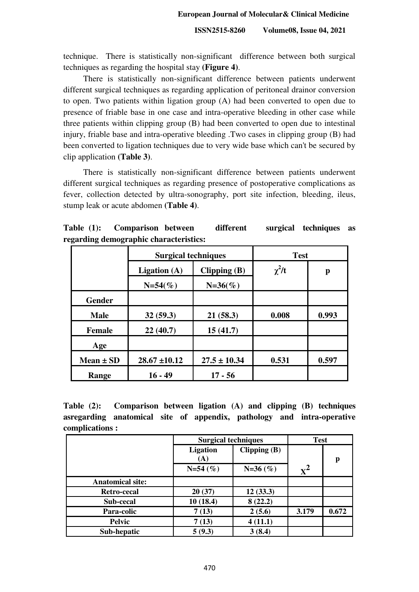technique. There is statistically non-significant difference between both surgical techniques as regarding the hospital stay **(Figure 4)**.

There is statistically non-significant difference between patients underwent different surgical techniques as regarding application of peritoneal drainor conversion to open. Two patients within ligation group (A) had been converted to open due to presence of friable base in one case and intra-operative bleeding in other case while three patients within clipping group (B) had been converted to open due to intestinal injury, friable base and intra-operative bleeding .Two cases in clipping group (B) had been converted to ligation techniques due to very wide base which can't be secured by clip application **(Table 3)**.

There is statistically non-significant difference between patients underwent different surgical techniques as regarding presence of postoperative complications as fever, collection detected by ultra-sonography, port site infection, bleeding, ileus, stump leak or acute abdomen **(Table 4)**.

| Table $(1)$ : | Comparison between                     | different | surgical techniques as |  |
|---------------|----------------------------------------|-----------|------------------------|--|
|               | regarding demographic characteristics: |           |                        |  |

|               | <b>Surgical techniques</b>       |                  | <b>Test</b> |       |
|---------------|----------------------------------|------------------|-------------|-------|
|               | Ligation $(A)$<br>Clipping $(B)$ |                  | $\chi^2/t$  | p     |
|               | $N=54(\%)$                       | $N=36(%)$        |             |       |
| <b>Gender</b> |                                  |                  |             |       |
| <b>Male</b>   | 32(59.3)                         | 21(58.3)         | 0.008       | 0.993 |
| <b>Female</b> | 22(40.7)                         | 15(41.7)         |             |       |
| Age           |                                  |                  |             |       |
| Mean $\pm$ SD | $28.67 \pm 10.12$                | $27.5 \pm 10.34$ | 0.531       | 0.597 |
| Range         | $16 - 49$                        | $17 - 56$        |             |       |

**Table (2): Comparison between ligation (A) and clipping (B) techniques asregarding anatomical site of appendix, pathology and intra-operative complications :** 

|                         | <b>Surgical techniques</b> |                | <b>Test</b>    |       |
|-------------------------|----------------------------|----------------|----------------|-------|
|                         | <b>Ligation</b><br>(A)     | Clipping $(B)$ |                | p     |
|                         | $N=54(%)$                  | $N=36(%)$      | $\mathbf{x}^2$ |       |
| <b>Anatomical site:</b> |                            |                |                |       |
| Retro-cecal             | 20(37)                     | 12(33.3)       |                |       |
| Sub-cecal               | 10(18.4)                   | 8(22.2)        |                |       |
| Para-colic              | 7(13)                      | 2(5.6)         | 3.179          | 0.672 |
| <b>Pelvic</b>           | 7(13)                      | 4(11.1)        |                |       |
| Sub-hepatic             | 5(9.3)                     | 3(8.4)         |                |       |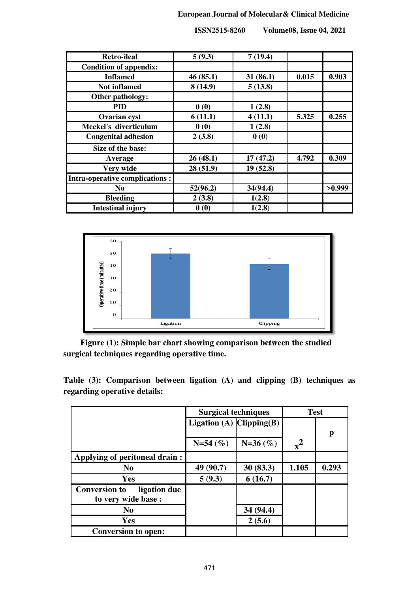# **European Journal of Molecular& Clinical Medicine**

| <b>Retro-ileal</b>                    | 5(9.3)   | 7(19.4)  |       |        |
|---------------------------------------|----------|----------|-------|--------|
| <b>Condition of appendix:</b>         |          |          |       |        |
| <b>Inflamed</b>                       | 46(85.1) | 31(86.1) | 0.015 | 0.903  |
| <b>Not inflamed</b>                   | 8(14.9)  | 5(13.8)  |       |        |
| Other pathology:                      |          |          |       |        |
| <b>PID</b>                            | 0(0)     | 1(2.8)   |       |        |
| <b>Ovarian cyst</b>                   | 6(11.1)  | 4(11.1)  | 5.325 | 0.255  |
| Meckel's diverticulum                 | 0(0)     | 1(2.8)   |       |        |
| <b>Congenital adhesion</b>            | 2(3.8)   | 0(0)     |       |        |
| Size of the base:                     |          |          |       |        |
| Average                               | 26(48.1) | 17(47.2) | 4.792 | 0.309  |
| Very wide                             | 28(51.9) | 19(52.8) |       |        |
| <b>Intra-operative complications:</b> |          |          |       |        |
| N <sub>0</sub>                        | 52(96.2) | 34(94.4) |       | >0.999 |
| <b>Bleeding</b>                       | 2(3.8)   | 1(2.8)   |       |        |
| <b>Intestinal injury</b>              | 0(0)     | 1(2.8)   |       |        |

 **ISSN2515-8260 Volume08, Issue 04, 2021**



 **Figure (1): Simple bar chart showing comparison between the studied surgical techniques regarding operative time.** 

**Table (3): Comparison between ligation (A) and clipping (B) techniques as regarding operative details:** 

|                                      | <b>Surgical techniques</b>        |           | <b>Test</b> |       |
|--------------------------------------|-----------------------------------|-----------|-------------|-------|
|                                      | Ligation (A) $\text{Clipping}(B)$ |           |             |       |
|                                      |                                   |           |             | p     |
|                                      | $N=54(%)$                         | $N=36(%)$ | $x^2$       |       |
| Applying of peritoneal drain:        |                                   |           |             |       |
| N <sub>0</sub>                       | 49 (90.7)                         | 30(83.3)  | 1.105       | 0.293 |
| Yes                                  | 5(9.3)                            | 6(16.7)   |             |       |
| <b>Conversion to</b><br>ligation due |                                   |           |             |       |
| to very wide base :                  |                                   |           |             |       |
| N <sub>0</sub>                       |                                   | 34 (94.4) |             |       |
| <b>Yes</b>                           |                                   | 2(5.6)    |             |       |
| <b>Conversion to open:</b>           |                                   |           |             |       |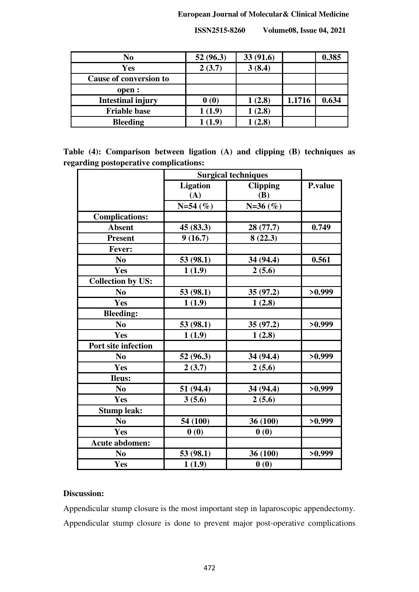# **European Journal of Molecular& Clinical Medicine**

| N <sub>0</sub>                | 52(96.3) | 33(91.6) |        | 0.385 |
|-------------------------------|----------|----------|--------|-------|
| Yes                           | 2(3.7)   | 3(8.4)   |        |       |
| <b>Cause of conversion to</b> |          |          |        |       |
| open :                        |          |          |        |       |
| <b>Intestinal injury</b>      | 0(0)     | 1(2.8)   | 1.1716 | 0.634 |
| <b>Friable base</b>           | (1.9)    | 1(2.8)   |        |       |
| <b>Bleeding</b>               | 1.9      | (2.8)    |        |       |

 **ISSN2515-8260 Volume08, Issue 04, 2021**

**Table (4): Comparison between ligation (A) and clipping (B) techniques as regarding postoperative complications:** 

|                          | <b>Surgical techniques</b> |                 |         |
|--------------------------|----------------------------|-----------------|---------|
|                          | <b>Ligation</b>            | <b>Clipping</b> | P.value |
|                          | (A)                        | <b>(B)</b>      |         |
|                          | $N=54(%)$                  | $N=36(%)$       |         |
| <b>Complications:</b>    |                            |                 |         |
| <b>Absent</b>            | 45(83.3)                   | 28 (77.7)       | 0.749   |
| <b>Present</b>           | 9(16.7)                    | 8(22.3)         |         |
| Fever:                   |                            |                 |         |
| No                       | 53 (98.1)                  | 34 (94.4)       | 0.561   |
| Yes                      | 1(1.9)                     | 2(5.6)          |         |
| <b>Collection by US:</b> |                            |                 |         |
| N <sub>0</sub>           | 53 (98.1)                  | 35(97.2)        | >0.999  |
| Yes                      | 1(1.9)                     | 1(2.8)          |         |
| <b>Bleeding:</b>         |                            |                 |         |
| N <sub>0</sub>           | 53 (98.1)                  | 35 (97.2)       | >0.999  |
| Yes                      | 1(1.9)                     | 1(2.8)          |         |
| Port site infection      |                            |                 |         |
| N <sub>0</sub>           | 52 (96.3)                  | 34 (94.4)       | >0.999  |
| Yes                      | 2(3.7)                     | 2(5.6)          |         |
| <b>Ileus:</b>            |                            |                 |         |
| N <sub>0</sub>           | 51 (94.4)                  | 34 (94.4)       | >0.999  |
| Yes                      | 3(5.6)                     | 2(5.6)          |         |
| <b>Stump leak:</b>       |                            |                 |         |
| N <sub>0</sub>           | 54 (100)                   | 36 (100)        | >0.999  |
| Yes                      | 0(0)                       | 0(0)            |         |
| <b>Acute abdomen:</b>    |                            |                 |         |
| N <sub>0</sub>           | 53 (98.1)                  | 36 (100)        | >0.999  |
| Yes                      | 1(1.9)                     | 0(0)            |         |

# **Discussion:**

Appendicular stump closure is the most important step in laparoscopic appendectomy. Appendicular stump closure is done to prevent major post-operative complications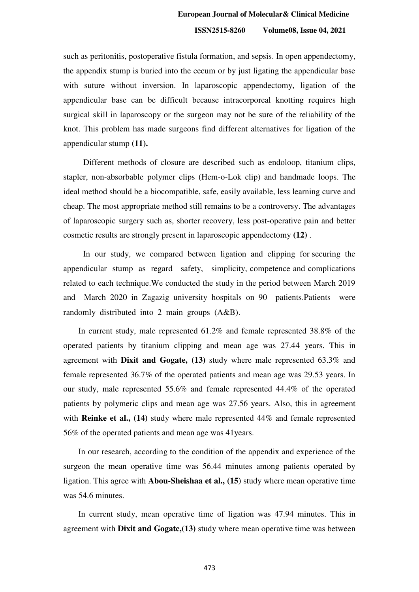such as peritonitis, postoperative fistula formation, and sepsis. In open appendectomy, the appendix stump is buried into the cecum or by just ligating the appendicular base with suture without inversion. In laparoscopic appendectomy, ligation of the appendicular base can be difficult because intracorporeal knotting requires high surgical skill in laparoscopy or the surgeon may not be sure of the reliability of the knot. This problem has made surgeons find different alternatives for ligation of the appendicular stump **(11).**

Different methods of closure are described such as endoloop, titanium clips, stapler, non-absorbable polymer clips (Hem-o-Lok clip) and handmade loops. The ideal method should be a biocompatible, safe, easily available, less learning curve and cheap. The most appropriate method still remains to be a controversy. The advantages of laparoscopic surgery such as, shorter recovery, less post-operative pain and better cosmetic results are strongly present in laparoscopic appendectomy **(12)** .

In our study, we compared between ligation and clipping for securing the appendicular stump as regard safety, simplicity, competence and complications related to each technique.We conducted the study in the period between March 2019 and March 2020 in Zagazig university hospitals on 90 patients.Patients were randomly distributed into 2 main groups (A&B).

In current study, male represented 61.2% and female represented 38.8% of the operated patients by titanium clipping and mean age was 27.44 years. This in agreement with **Dixit and Gogate, (13)** study where male represented 63.3% and female represented 36.7% of the operated patients and mean age was 29.53 years. In our study, male represented 55.6% and female represented 44.4% of the operated patients by polymeric clips and mean age was 27.56 years. Also, this in agreement with **Reinke et al., (14)** study where male represented 44% and female represented 56% of the operated patients and mean age was 41years.

In our research, according to the condition of the appendix and experience of the surgeon the mean operative time was 56.44 minutes among patients operated by ligation. This agree with **Abou-Sheishaa et al., (15)** study where mean operative time was 54.6 minutes.

In current study, mean operative time of ligation was 47.94 minutes. This in agreement with **Dixit and Gogate,(13)** study where mean operative time was between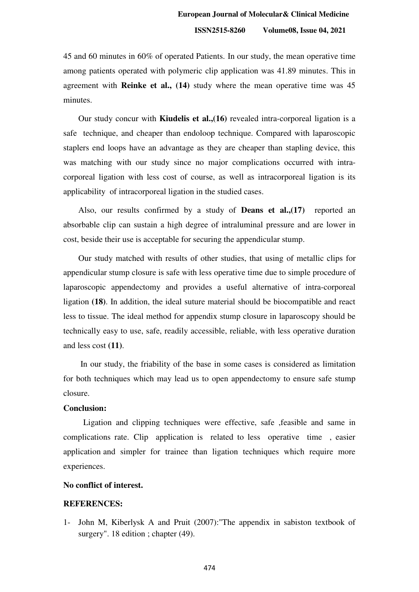45 and 60 minutes in 60% of operated Patients. In our study, the mean operative time among patients operated with polymeric clip application was 41.89 minutes. This in agreement with **Reinke et al., (14)** study where the mean operative time was 45 minutes.

Our study concur with **Kiudelis et al.,(16)** revealed intra-corporeal ligation is a safe technique, and cheaper than endoloop technique. Compared with laparoscopic staplers end loops have an advantage as they are cheaper than stapling device, this was matching with our study since no major complications occurred with intracorporeal ligation with less cost of course, as well as intracorporeal ligation is its applicability of intracorporeal ligation in the studied cases.

Also, our results confirmed by a study of **Deans et al.,(17)** reported an absorbable clip can sustain a high degree of intraluminal pressure and are lower in cost, beside their use is acceptable for securing the appendicular stump.

Our study matched with results of other studies, that using of metallic clips for appendicular stump closure is safe with less operative time due to simple procedure of laparoscopic appendectomy and provides a useful alternative of intra-corporeal ligation **(18)**. In addition, the ideal suture material should be biocompatible and react less to tissue. The ideal method for appendix stump closure in laparoscopy should be technically easy to use, safe, readily accessible, reliable, with less operative duration and less cost **(11)**.

 In our study, the friability of the base in some cases is considered as limitation for both techniques which may lead us to open appendectomy to ensure safe stump closure.

#### **Conclusion:**

Ligation and clipping techniques were effective, safe ,feasible and same in complications rate. Clip application is related to less operative time , easier application and simpler for trainee than ligation techniques which require more experiences.

### **No conflict of interest.**

### **REFERENCES:**

1- John M, Kiberlysk A and Pruit (2007):"The appendix in sabiston textbook of surgery". 18 edition ; chapter (49).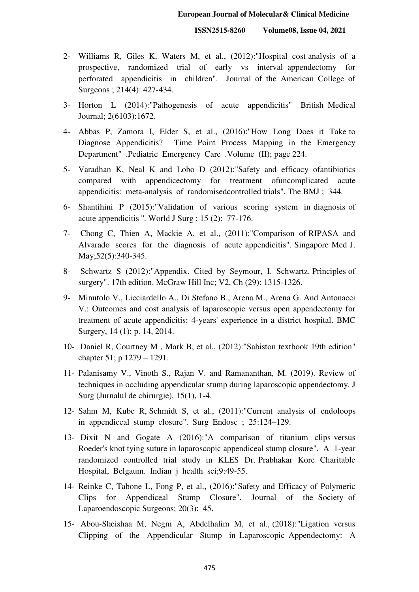- 2- Williams R, Giles K, Waters M, et al., (2012):"Hospital cost analysis of a prospective, randomized trial of early vs interval appendectomy for perforated appendicitis in children". Journal of the American College of Surgeons ; 214(4): 427-434.
- 3- Horton L (2014):"Pathogenesis of acute appendicitis" British Medical Journal; 2(6103):1672.
- 4- Abbas P, Zamora I, Elder S, et al., (2016):"How Long Does it Take to Diagnose Appendicitis? Time Point Process Mapping in the Emergency Department" .Pediatric Emergency Care .Volume (II); page 224.
- 5- Varadhan K, Neal K and Lobo D (2012):"Safety and efficacy ofantibiotics compared with appendicectomy for treatment ofuncomplicated acute appendicitis: meta-analysis of randomisedcontrolled trials". The BMJ ; 344.
- 6- Shantihini P (2015):"Validation of various scoring system in diagnosis of acute appendicitis ''. World J Surg ; 15 (2): 77-176.
- 7- Chong C, Thien A, Mackie A, et al., (2011):"Comparison of RIPASA and Alvarado scores for the diagnosis of acute appendicitis". Singapore Med J. May;52(5):340-345.
- 8- Schwartz S (2012):"Appendix. Cited by Seymour, I. Schwartz. Principles of surgery". 17th edition. McGraw Hill Inc; V2, Ch (29): 1315-1326.
- 9- Minutolo V., Licciardello A., Di Stefano B., Arena M., Arena G. And Antonacci V.: Outcomes and cost analysis of laparoscopic versus open appendectomy for treatment of acute appendicitis: 4-years' experience in a district hospital. BMC Surgery, 14 (1): p. 14, 2014.
- 10- Daniel R, Courtney M , Mark B, et al., (2012):"Sabiston textbook 19th edition" chapter 51; p 1279 – 1291.
- 11- Palanisamy V., Vinoth S., Rajan V. and Ramananthan, M. (2019). Review of techniques in occluding appendicular stump during laparoscopic appendectomy. J Surg (Jurnalul de chirurgie), 15(1), 1-4.
- 12- Sahm M, Kube R, Schmidt S, et al., (2011):"Current analysis of endoloops in appendiceal stump closure". Surg Endosc ; 25:124–129.
- 13- Dixit N and Gogate A (2016):"A comparison of titanium clips versus Roeder's knot tying suture in laparoscopic appendiceal stump closure". A 1-year randomized controlled trial study in KLES Dr. Prabhakar Kore Charitable Hospital, Belgaum. Indian j health sci;9:49-55.
- 14- Reinke C, Tabone L, Fong P, et al., (2016):"Safety and Efficacy of Polymeric Clips for Appendiceal Stump Closure". Journal of the Society of Laparoendoscopic Surgeons; 20(3): 45.
- 15- Abou-Sheishaa M, Negm A, Abdelhalim M, et al., (2018):"Ligation versus Clipping of the Appendicular Stump in Laparoscopic Appendectomy: A